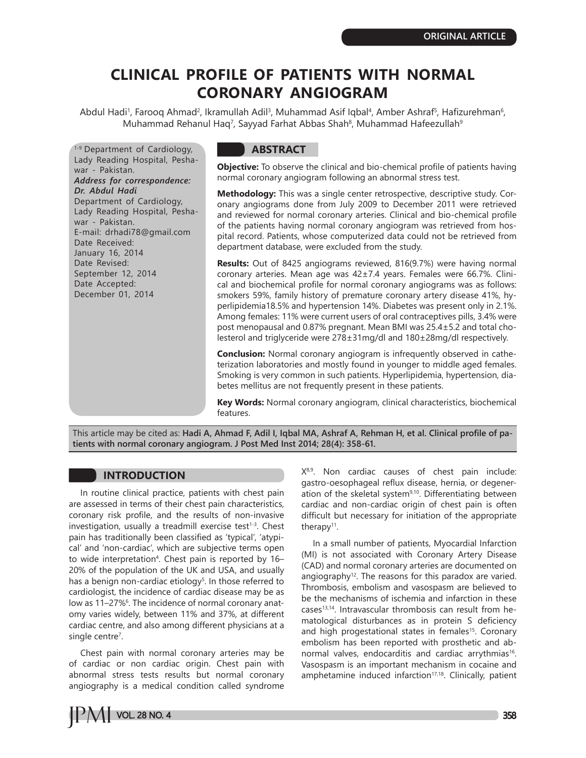# **CLINICAL PROFILE OF PATIENTS WITH NORMAL CORONARY ANGIOGRAM**

Abdul Hadi<sup>1</sup>, Farooq Ahmad<sup>2</sup>, Ikramullah Adil<sup>3</sup>, Muhammad Asif Iqbal<sup>4</sup>, Amber Ashraf<sup>5</sup>, Hafizurehman<sup>6</sup>, Muhammad Rehanul Haq<sup>7</sup>, Sayyad Farhat Abbas Shah<sup>8</sup>, Muhammad Hafeezullah<sup>9</sup>

<sup>1-9</sup> Department of Cardiology, Lady Reading Hospital, Peshawar - Pakistan. *Address for correspondence: Dr. Abdul Hadi* Department of Cardiology, Lady Reading Hospital, Peshawar - Pakistan. E-mail: drhadi78@gmail.com Date Received: January 16, 2014 Date Revised: September 12, 2014 Date Accepted: December 01, 2014

# **ABSTRACT**

**Objective:** To observe the clinical and bio-chemical profile of patients having normal coronary angiogram following an abnormal stress test.

**Methodology:** This was a single center retrospective, descriptive study. Coronary angiograms done from July 2009 to December 2011 were retrieved and reviewed for normal coronary arteries. Clinical and bio-chemical profile of the patients having normal coronary angiogram was retrieved from hospital record. Patients, whose computerized data could not be retrieved from department database, were excluded from the study.

**Results:** Out of 8425 angiograms reviewed, 816(9.7%) were having normal coronary arteries. Mean age was 42±7.4 years. Females were 66.7%. Clinical and biochemical profile for normal coronary angiograms was as follows: smokers 59%, family history of premature coronary artery disease 41%, hyperlipidemia18.5% and hypertension 14%. Diabetes was present only in 2.1%. Among females: 11% were current users of oral contraceptives pills, 3.4% were post menopausal and 0.87% pregnant. Mean BMI was 25.4±5.2 and total cholesterol and triglyceride were 278±31mg/dl and 180±28mg/dl respectively.

**Conclusion:** Normal coronary angiogram is infrequently observed in catheterization laboratories and mostly found in younger to middle aged females. Smoking is very common in such patients. Hyperlipidemia, hypertension, diabetes mellitus are not frequently present in these patients.

**Key Words:** Normal coronary angiogram, clinical characteristics, biochemical features.

This article may be cited as: **Hadi A, Ahmad F, Adil I, Iqbal MA, Ashraf A, Rehman H, et al. Clinical profile of patients with normal coronary angiogram. J Post Med Inst 2014; 28(4): 358-61.**

# **INTRODUCTION**

In routine clinical practice, patients with chest pain are assessed in terms of their chest pain characteristics, coronary risk profile, and the results of non-invasive investigation, usually a treadmill exercise test $1-3$ . Chest pain has traditionally been classified as 'typical', 'atypical' and 'non-cardiac', which are subjective terms open to wide interpretation<sup>4</sup>. Chest pain is reported by 16– 20% of the population of the UK and USA, and usually has a benign non-cardiac etiology<sup>5</sup>. In those referred to cardiologist, the incidence of cardiac disease may be as low as 11–27%6. The incidence of normal coronary anatomy varies widely, between 11% and 37%, at different cardiac centre, and also among different physicians at a single centre<sup>7</sup>.

Chest pain with normal coronary arteries may be of cardiac or non cardiac origin. Chest pain with abnormal stress tests results but normal coronary angiography is a medical condition called syndrome

 $X<sup>8,9</sup>$ . Non cardiac causes of chest pain include: gastro-oesophageal reflux disease, hernia, or degeneration of the skeletal system<sup>9,10</sup>. Differentiating between cardiac and non-cardiac origin of chest pain is often difficult but necessary for initiation of the appropriate therapy<sup>11</sup>.

In a small number of patients, Myocardial Infarction (MI) is not associated with Coronary Artery Disease (CAD) and normal coronary arteries are documented on angiography<sup>12</sup>. The reasons for this paradox are varied. Thrombosis, embolism and vasospasm are believed to be the mechanisms of ischemia and infarction in these cases13,14. Intravascular thrombosis can result from hematological disturbances as in protein S deficiency and high progestational states in females<sup>15</sup>. Coronary embolism has been reported with prosthetic and abnormal valves, endocarditis and cardiac arrythmias<sup>16</sup>. Vasospasm is an important mechanism in cocaine and amphetamine induced infarction<sup>17,18</sup>. Clinically, patient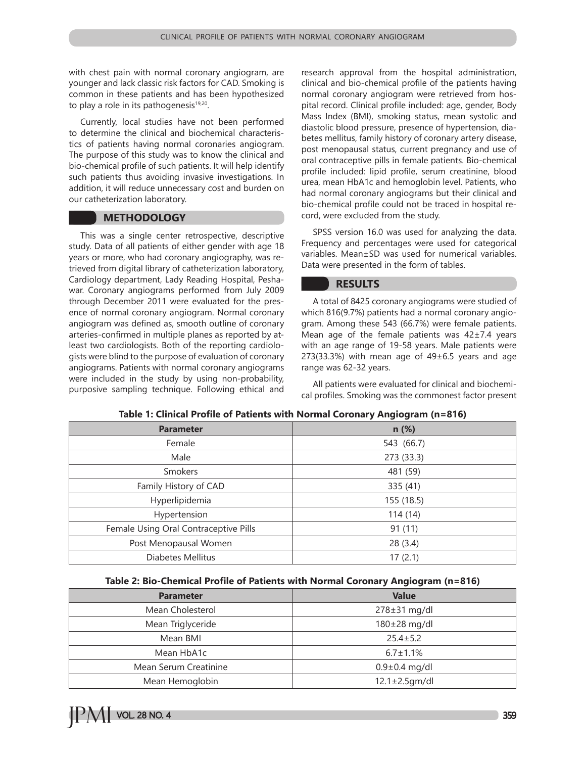with chest pain with normal coronary angiogram, are younger and lack classic risk factors for CAD. Smoking is common in these patients and has been hypothesized to play a role in its pathogenesis<sup>19,20</sup>.

Currently, local studies have not been performed to determine the clinical and biochemical characteristics of patients having normal coronaries angiogram. The purpose of this study was to know the clinical and bio-chemical profile of such patients. It will help identify such patients thus avoiding invasive investigations. In addition, it will reduce unnecessary cost and burden on our catheterization laboratory.

## **METHODOLOGY**

This was a single center retrospective, descriptive study. Data of all patients of either gender with age 18 years or more, who had coronary angiography, was retrieved from digital library of catheterization laboratory, Cardiology department, Lady Reading Hospital, Peshawar. Coronary angiograms performed from July 2009 through December 2011 were evaluated for the presence of normal coronary angiogram. Normal coronary angiogram was defined as, smooth outline of coronary arteries-confirmed in multiple planes as reported by atleast two cardiologists. Both of the reporting cardiologists were blind to the purpose of evaluation of coronary angiograms. Patients with normal coronary angiograms were included in the study by using non-probability, purposive sampling technique. Following ethical and

research approval from the hospital administration, clinical and bio-chemical profile of the patients having normal coronary angiogram were retrieved from hospital record. Clinical profile included: age, gender, Body Mass Index (BMI), smoking status, mean systolic and diastolic blood pressure, presence of hypertension, diabetes mellitus, family history of coronary artery disease, post menopausal status, current pregnancy and use of oral contraceptive pills in female patients. Bio-chemical profile included: lipid profile, serum creatinine, blood urea, mean HbA1c and hemoglobin level. Patients, who had normal coronary angiograms but their clinical and bio-chemical profile could not be traced in hospital record, were excluded from the study.

SPSS version 16.0 was used for analyzing the data. Frequency and percentages were used for categorical variables. Mean±SD was used for numerical variables. Data were presented in the form of tables.

## **RESULTS**

A total of 8425 coronary angiograms were studied of which 816(9.7%) patients had a normal coronary angiogram. Among these 543 (66.7%) were female patients. Mean age of the female patients was 42±7.4 years with an age range of 19-58 years. Male patients were 273(33.3%) with mean age of  $49\pm6.5$  years and age range was 62-32 years.

All patients were evaluated for clinical and biochemical profiles. Smoking was the commonest factor present

| <b>Parameter</b>                      | n(%)       |
|---------------------------------------|------------|
| Female                                | 543 (66.7) |
| Male                                  | 273 (33.3) |
| Smokers                               | 481 (59)   |
| Family History of CAD                 | 335 (41)   |
| Hyperlipidemia                        | 155 (18.5) |
| Hypertension                          | 114(14)    |
| Female Using Oral Contraceptive Pills | 91(11)     |
| Post Menopausal Women                 | 28(3.4)    |
| Diabetes Mellitus                     | 17(2.1)    |

#### **Table 1: Clinical Profile of Patients with Normal Coronary Angiogram (n=816)**

#### **Table 2: Bio-Chemical Profile of Patients with Normal Coronary Angiogram (n=816)**

| <b>Parameter</b>      | <b>Value</b>         |
|-----------------------|----------------------|
| Mean Cholesterol      | $278 \pm 31$ mg/dl   |
| Mean Triglyceride     | $180\pm28$ mg/dl     |
| Mean BMI              | $25.4 \pm 5.2$       |
| Mean HbA1c            | $6.7 \pm 1.1\%$      |
| Mean Serum Creatinine | $0.9 \pm 0.4$ mg/dl  |
| Mean Hemoglobin       | $12.1 \pm 2.5$ gm/dl |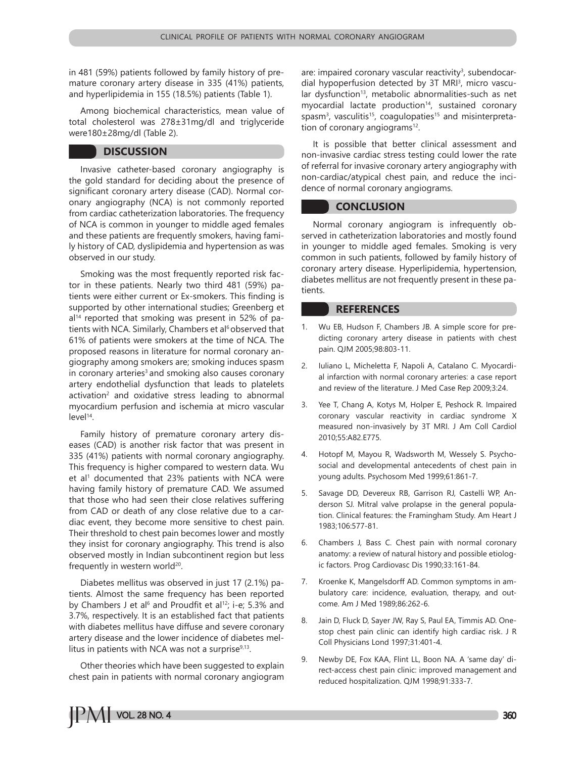in 481 (59%) patients followed by family history of premature coronary artery disease in 335 (41%) patients, and hyperlipidemia in 155 (18.5%) patients (Table 1).

Among biochemical characteristics, mean value of total cholesterol was 278±31mg/dl and triglyceride were180±28mg/dl (Table 2).

## **DISCUSSION**

Invasive catheter-based coronary angiography is the gold standard for deciding about the presence of significant coronary artery disease (CAD). Normal coronary angiography (NCA) is not commonly reported from cardiac catheterization laboratories. The frequency of NCA is common in younger to middle aged females and these patients are frequently smokers, having family history of CAD, dyslipidemia and hypertension as was observed in our study.

Smoking was the most frequently reported risk factor in these patients. Nearly two third 481 (59%) patients were either current or Ex-smokers. This finding is supported by other international studies; Greenberg et  $al<sup>14</sup>$  reported that smoking was present in 52% of patients with NCA. Similarly, Chambers et al<sup>6</sup> observed that 61% of patients were smokers at the time of NCA. The proposed reasons in literature for normal coronary angiography among smokers are; smoking induces spasm in coronary arteries<sup>3</sup> and smoking also causes coronary artery endothelial dysfunction that leads to platelets activation<sup>2</sup> and oxidative stress leading to abnormal myocardium perfusion and ischemia at micro vascular level<sup>14</sup>.

Family history of premature coronary artery diseases (CAD) is another risk factor that was present in 335 (41%) patients with normal coronary angiography. This frequency is higher compared to western data. Wu et al<sup>1</sup> documented that 23% patients with NCA were having family history of premature CAD. We assumed that those who had seen their close relatives suffering from CAD or death of any close relative due to a cardiac event, they become more sensitive to chest pain. Their threshold to chest pain becomes lower and mostly they insist for coronary angiography. This trend is also observed mostly in Indian subcontinent region but less frequently in western world $20$ .

Diabetes mellitus was observed in just 17 (2.1%) patients. Almost the same frequency has been reported by Chambers J et al<sup>6</sup> and Proudfit et al<sup>12</sup>; i-e; 5.3% and 3.7%, respectively. It is an established fact that patients with diabetes mellitus have diffuse and severe coronary artery disease and the lower incidence of diabetes mellitus in patients with NCA was not a surprise $9,13$ .

Other theories which have been suggested to explain chest pain in patients with normal coronary angiogram

are: impaired coronary vascular reactivity<sup>3</sup>, subendocardial hypoperfusion detected by 3T MRI<sup>3</sup>, micro vascular dysfunction<sup>13</sup>, metabolic abnormalities-such as net myocardial lactate production<sup>14</sup>, sustained coronary spasm $^3$ , vasculitis $^{15}$ , coagulopaties $^{15}$  and misinterpretation of coronary angiograms<sup>12</sup>.

It is possible that better clinical assessment and non-invasive cardiac stress testing could lower the rate of referral for invasive coronary artery angiography with non-cardiac/atypical chest pain, and reduce the incidence of normal coronary angiograms.

## **CONCLUSION**

Normal coronary angiogram is infrequently observed in catheterization laboratories and mostly found in younger to middle aged females. Smoking is very common in such patients, followed by family history of coronary artery disease. Hyperlipidemia, hypertension, diabetes mellitus are not frequently present in these patients.

## **REFERENCES**

- 1. Wu EB, Hudson F, Chambers JB. A simple score for predicting coronary artery disease in patients with chest pain. QJM 2005;98:803-11.
- 2. Iuliano L, Micheletta F, Napoli A, Catalano C. Myocardial infarction with normal coronary arteries: a case report and review of the literature. J Med Case Rep 2009;3:24.
- 3. Yee T, Chang A, Kotys M, Holper E, Peshock R. Impaired coronary vascular reactivity in cardiac syndrome X measured non-invasively by 3T MRI. J Am Coll Cardiol 2010;55:A82.E775.
- 4. Hotopf M, Mayou R, Wadsworth M, Wessely S. Psychosocial and developmental antecedents of chest pain in young adults. Psychosom Med 1999;61:861-7.
- 5. Savage DD, Devereux RB, Garrison RJ, Castelli WP, Anderson SJ. Mitral valve prolapse in the general population. Clinical features: the Framingham Study. Am Heart J 1983;106:577-81.
- 6. Chambers J, Bass C. Chest pain with normal coronary anatomy: a review of natural history and possible etiologic factors. Prog Cardiovasc Dis 1990;33:161-84.
- 7. Kroenke K, Mangelsdorff AD. Common symptoms in ambulatory care: incidence, evaluation, therapy, and outcome. Am J Med 1989;86:262-6.
- 8. Jain D, Fluck D, Sayer JW, Ray S, Paul EA, Timmis AD. Onestop chest pain clinic can identify high cardiac risk. J R Coll Physicians Lond 1997;31:401-4.
- Newby DE, Fox KAA, Flint LL, Boon NA. A 'same day' direct-access chest pain clinic: improved management and reduced hospitalization. QJM 1998;91:333-7.